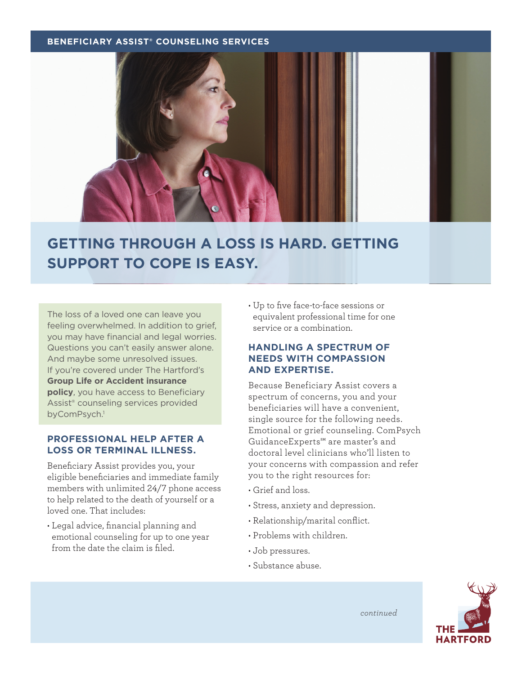#### **BENEFICIARY ASSIST® COUNSELING SERVICES**



# **GETTING THROUGH A LOSS IS HARD. GETTING SUPPORT TO COPE IS EASY.**

The loss of a loved one can leave you feeling overwhelmed. In addition to grief, you may have financial and legal worries. Questions you can't easily answer alone. And maybe some unresolved issues. If you're covered under The Hartford's **Group Life or Accident insurance policy**, you have access to Beneficiary Assist® counseling services provided byComPsych.<sup>1</sup>

## **PROFESSIONAL HELP AFTER A LOSS OR TERMINAL ILLNESS.**

Beneficiary Assist provides you, your eligible beneficiaries and immediate family members with unlimited 24/7 phone access to help related to the death of yourself or a loved one. That includes:

• Legal advice, financial planning and emotional counseling for up to one year from the date the claim is filed.

• Up to five face-to-face sessions or equivalent professional time for one service or a combination.

## **HANDLING A SPECTRUM OF NEEDS WITH COMPASSION AND EXPERTISE.**

Because Beneficiary Assist covers a spectrum of concerns, you and your beneficiaries will have a convenient, single source for the following needs. Emotional or grief counseling. ComPsych GuidanceExperts℠ are master's and doctoral level clinicians who'll listen to your concerns with compassion and refer you to the right resources for:

- Grief and loss.
- Stress, anxiety and depression.
- Relationship/marital conflict.
- Problems with children.
- Job pressures.
- Substance abuse.



*continued*